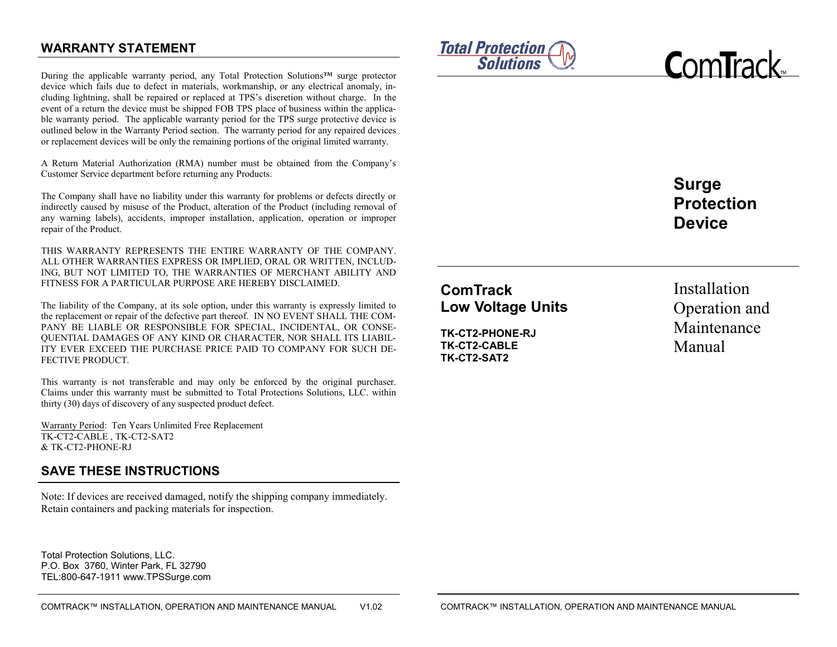## **WARRANTY STATEMENT**

During the applicable warranty period, any Total Protection Solutions™ surge protector device which fails due to defect in materials, workmanship, or any electrical anomaly, including lightning, shall be repaired or replaced at TPS's discretion without charge. In the event of a return the device must be shipped FOB TPS place of business within the applicable warranty period. The applicable warranty period for the TPS surge protective device is outlined below in the Warranty Period section. The warranty period for any repaired devices or replacement devices will be only the remaining portions of the original limited warranty.

A Return Material Authorization (RMA) number must be obtained from the Company's Customer Service department before returning any Products.

The Company shall have no liability under this warranty for problems or defects directly or indirectly caused by misuse of the Product, alteration of the Product (including removal of any warning labels), accidents, improper installation, application, operation or improper repair of the Product.

THIS WARRANTY REPRESENTS THE ENTIRE WARRANTY OF THE COMPANY. ALL OTHER WARRANTIES EXPRESS OR IMPLIED, ORAL OR WRITTEN, INCLUD-ING, BUT NOT LIMITED TO, THE WARRANTIES OF MERCHANT ABILITY AND FITNESS FOR A PARTICULAR PURPOSE ARE HEREBY DISCLAIMED.

The liability of the Company, at its sole option, under this warranty is expressly limited to the replacement or repair of the defective part thereof. IN NO EVENT SHALL THE COM-PANY BE LIABLE OR RESPONSIBLE FOR SPECIAL, INCIDENTAL, OR CONSE-QUENTIAL DAMAGES OF ANY KIND OR CHARACTER, NOR SHALL ITS LIABIL-ITY EVER EXCEED THE PURCHASE PRICE PAID TO COMPANY FOR SUCH DE-FECTIVE PRODUCT.

This warranty is not transferable and may only be enforced by the original purchaser. Claims under this warranty must be submitted to Total Protections Solutions, LLC. within thirty (30) days of discovery of any suspected product defect.

Warranty Period: Ten Years Unlimited Free Replacement TK-CT2-CABLE , TK-CT2-SAT2 & TK-CT2-PHONE-RJ

### **SAVE THESE INSTRUCTIONS**

Note: If devices are received damaged, notify the shipping company immediately. Retain containers and packing materials for inspection.

Total Protection Solutions, LLC. P.O. Box 3760, Winter Park, FL 32790 TEL:800-647-1911 www.TPSSurge.com





**Surge Protection Device**

# **ComTrack Low Voltage Units**

**TK-CT2-PHONE-RJ TK-CT2-CABLE TK-CT2-SAT2**

Installation Operation and Maintenance Manual